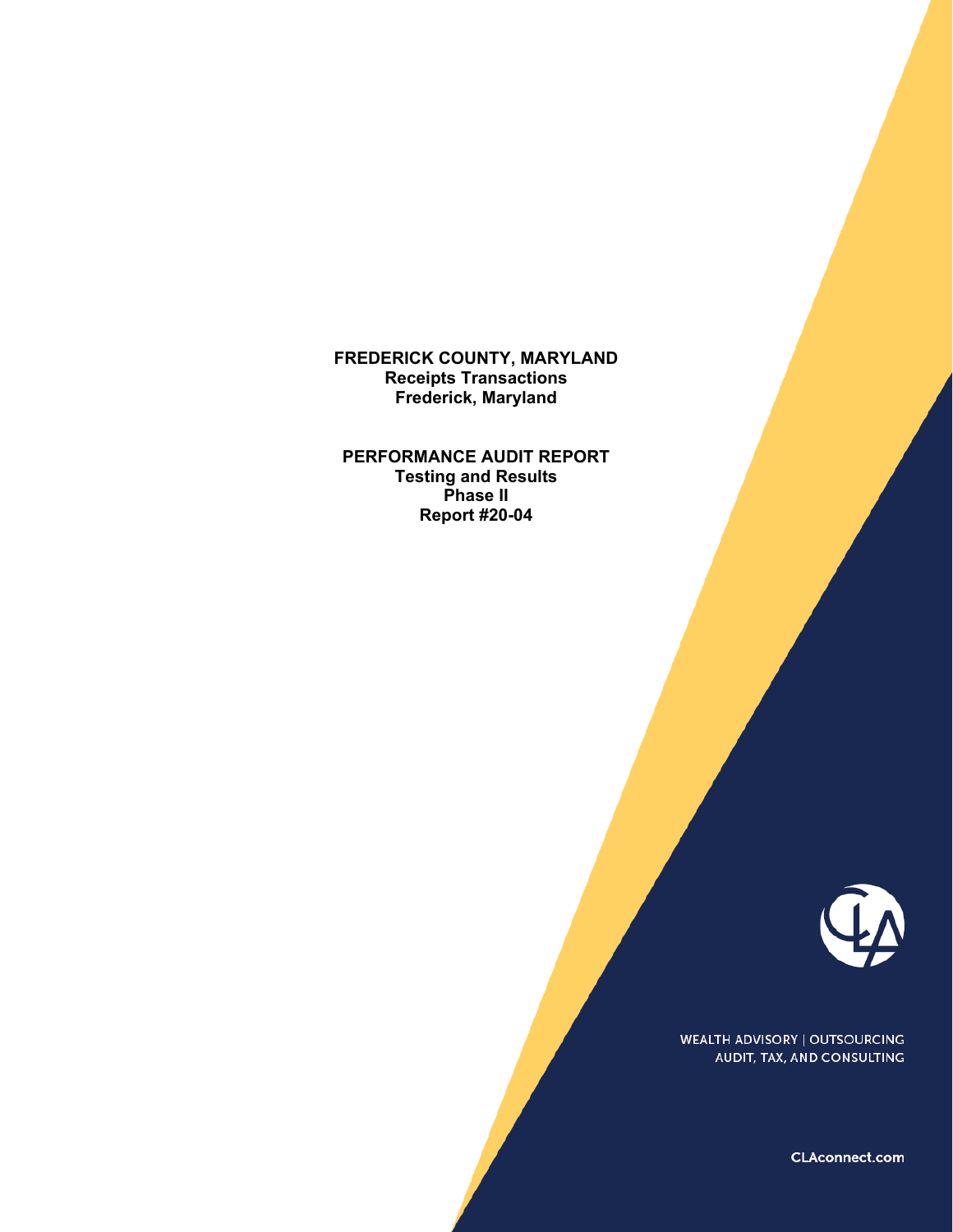**FREDERICK COUNTY, MARYLAND Receipts Transactions Frederick, Maryland** 

**PERFORMANCE AUDIT REPORT Testing and Results Phase II Report #20-04** 



WEALTH ADVISORY | OUTSOURCING AUDIT, TAX, AND CONSULTING

CLAconnect.com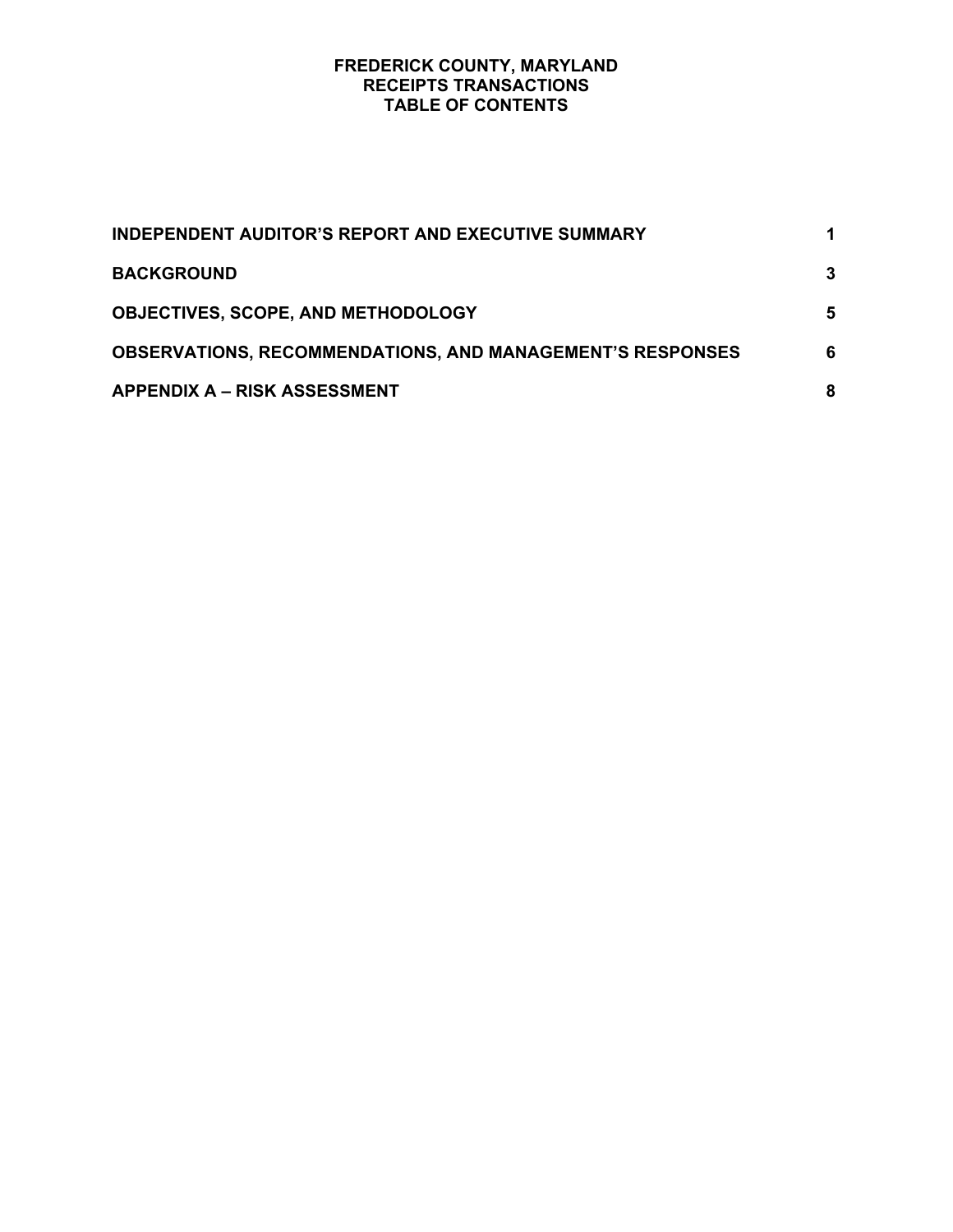#### **FREDERICK COUNTY, MARYLAND RECEIPTS TRANSACTIONS TABLE OF CONTENTS**

| INDEPENDENT AUDITOR'S REPORT AND EXECUTIVE SUMMARY               |   |
|------------------------------------------------------------------|---|
| <b>BACKGROUND</b>                                                | 3 |
| <b>OBJECTIVES, SCOPE, AND METHODOLOGY</b>                        | 5 |
| <b>OBSERVATIONS, RECOMMENDATIONS, AND MANAGEMENT'S RESPONSES</b> | 6 |
| <b>APPENDIX A - RISK ASSESSMENT</b>                              | 8 |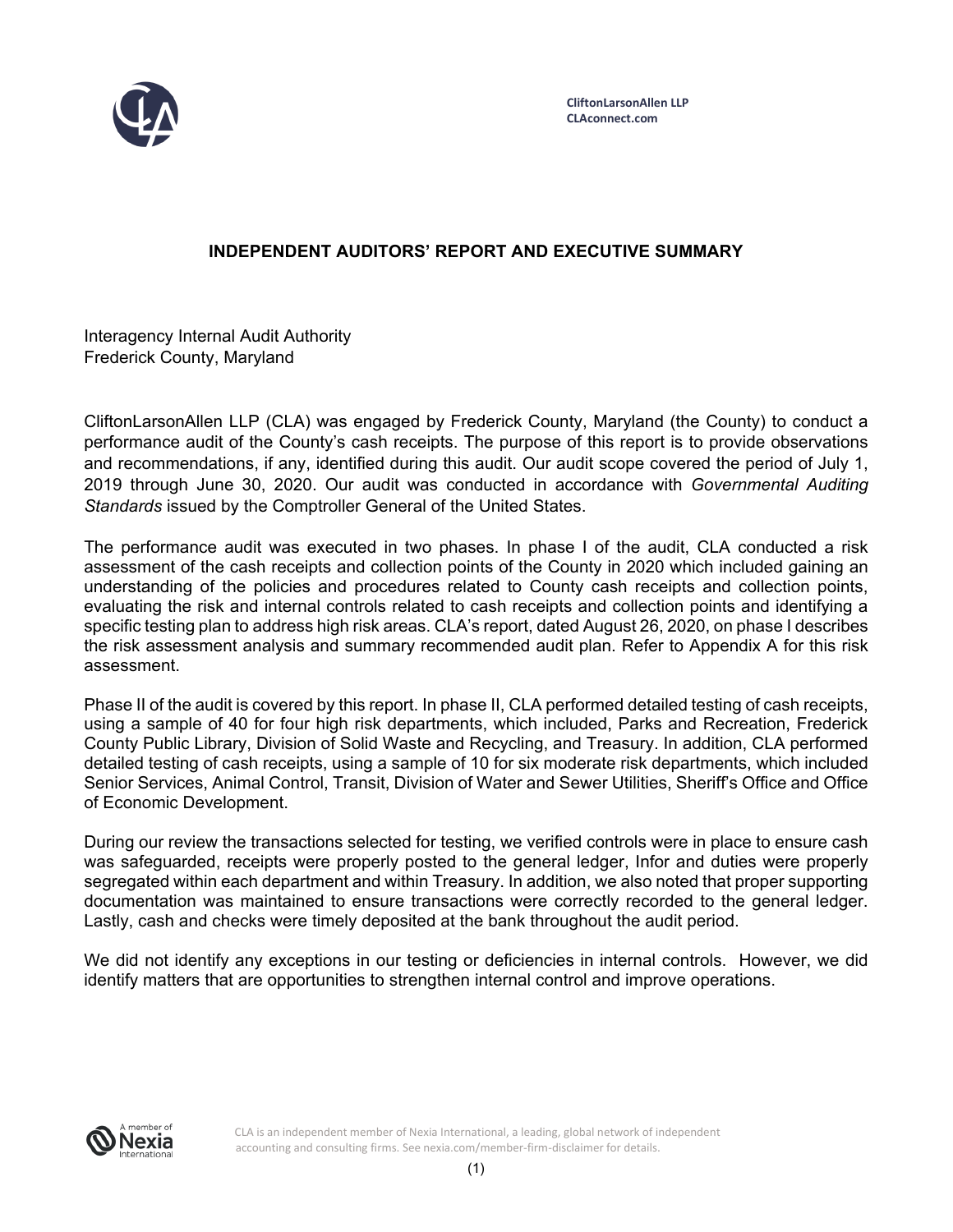

# **INDEPENDENT AUDITORS' REPORT AND EXECUTIVE SUMMARY**

Interagency Internal Audit Authority Frederick County, Maryland

CliftonLarsonAllen LLP (CLA) was engaged by Frederick County, Maryland (the County) to conduct a performance audit of the County's cash receipts. The purpose of this report is to provide observations and recommendations, if any, identified during this audit. Our audit scope covered the period of July 1, 2019 through June 30, 2020. Our audit was conducted in accordance with *Governmental Auditing Standards* issued by the Comptroller General of the United States.

The performance audit was executed in two phases. In phase I of the audit, CLA conducted a risk assessment of the cash receipts and collection points of the County in 2020 which included gaining an understanding of the policies and procedures related to County cash receipts and collection points, evaluating the risk and internal controls related to cash receipts and collection points and identifying a specific testing plan to address high risk areas. CLA's report, dated August 26, 2020, on phase I describes the risk assessment analysis and summary recommended audit plan. Refer to Appendix A for this risk assessment.

Phase II of the audit is covered by this report. In phase II, CLA performed detailed testing of cash receipts, using a sample of 40 for four high risk departments, which included, Parks and Recreation, Frederick County Public Library, Division of Solid Waste and Recycling, and Treasury. In addition, CLA performed detailed testing of cash receipts, using a sample of 10 for six moderate risk departments, which included Senior Services, Animal Control, Transit, Division of Water and Sewer Utilities, Sheriff's Office and Office of Economic Development.

During our review the transactions selected for testing, we verified controls were in place to ensure cash was safeguarded, receipts were properly posted to the general ledger, Infor and duties were properly segregated within each department and within Treasury. In addition, we also noted that proper supporting documentation was maintained to ensure transactions were correctly recorded to the general ledger. Lastly, cash and checks were timely deposited at the bank throughout the audit period.

We did not identify any exceptions in our testing or deficiencies in internal controls. However, we did identify matters that are opportunities to strengthen internal control and improve operations.



CLA is an independent member of Nexia International, a leading, global network of independent accounting and consulting firms. See nexia.com/member-firm-disclaimer for details.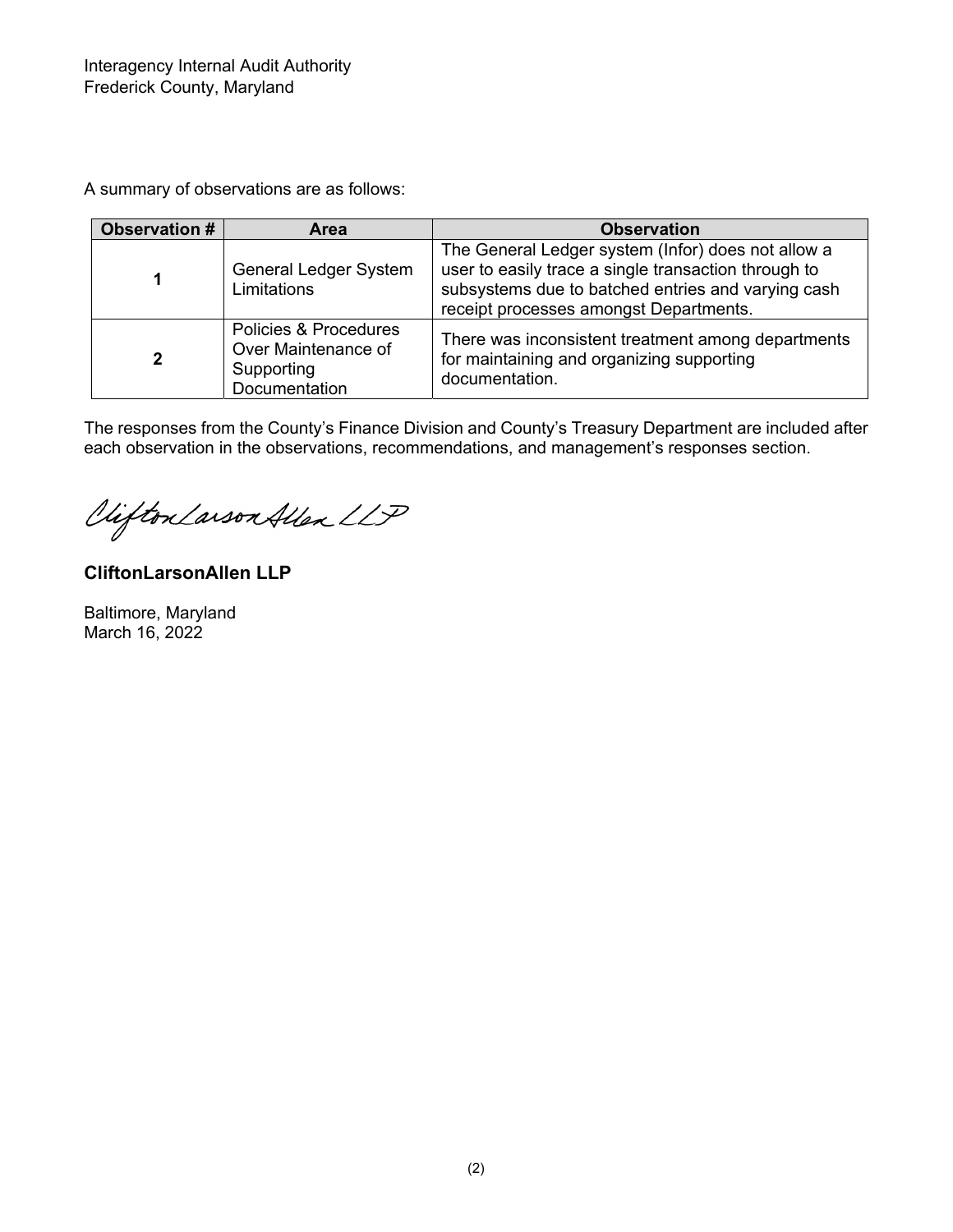A summary of observations are as follows:

| <b>Observation #</b> | <b>Area</b>                                                                 | <b>Observation</b>                                                                                                                                                                                         |
|----------------------|-----------------------------------------------------------------------------|------------------------------------------------------------------------------------------------------------------------------------------------------------------------------------------------------------|
| 1                    | <b>General Ledger System</b><br>Limitations                                 | The General Ledger system (Infor) does not allow a<br>user to easily trace a single transaction through to<br>subsystems due to batched entries and varying cash<br>receipt processes amongst Departments. |
| $\mathbf{2}$         | Policies & Procedures<br>Over Maintenance of<br>Supporting<br>Documentation | There was inconsistent treatment among departments<br>for maintaining and organizing supporting<br>documentation.                                                                                          |

The responses from the County's Finance Division and County's Treasury Department are included after each observation in the observations, recommendations, and management's responses section.

Clifton Larson Allen LLP

**CliftonLarsonAllen LLP** 

Baltimore, Maryland March 16, 2022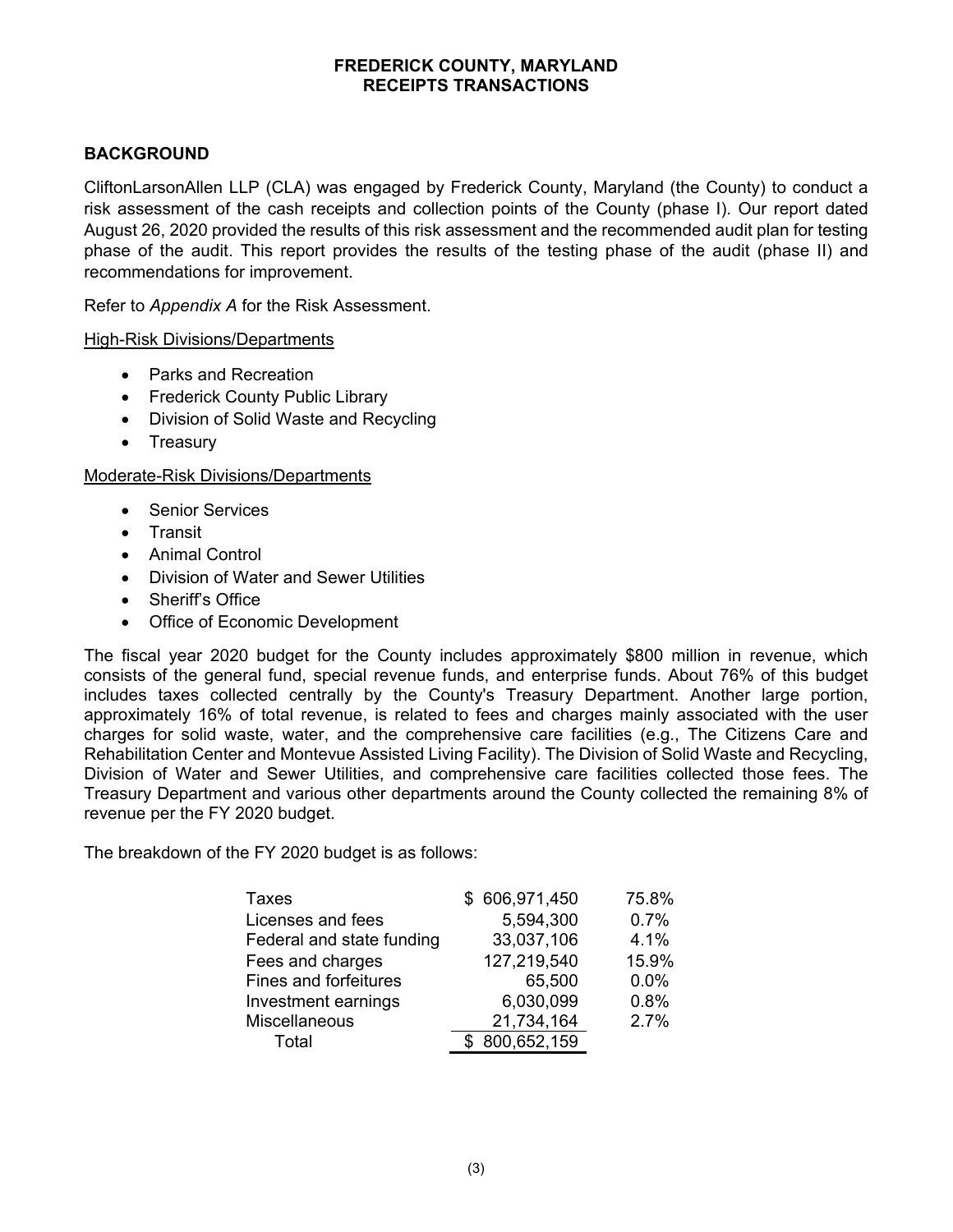# **BACKGROUND**

CliftonLarsonAllen LLP (CLA) was engaged by Frederick County, Maryland (the County) to conduct a risk assessment of the cash receipts and collection points of the County (phase I). Our report dated August 26, 2020 provided the results of this risk assessment and the recommended audit plan for testing phase of the audit. This report provides the results of the testing phase of the audit (phase II) and recommendations for improvement.

Refer to *Appendix A* for the Risk Assessment.

## High-Risk Divisions/Departments

- Parks and Recreation
- Frederick County Public Library
- Division of Solid Waste and Recycling
- Treasury

## Moderate-Risk Divisions/Departments

- Senior Services
- Transit
- Animal Control
- Division of Water and Sewer Utilities
- Sheriff's Office
- Office of Economic Development

The fiscal year 2020 budget for the County includes approximately \$800 million in revenue, which consists of the general fund, special revenue funds, and enterprise funds. About 76% of this budget includes taxes collected centrally by the County's Treasury Department. Another large portion, approximately 16% of total revenue, is related to fees and charges mainly associated with the user charges for solid waste, water, and the comprehensive care facilities (e.g., The Citizens Care and Rehabilitation Center and Montevue Assisted Living Facility). The Division of Solid Waste and Recycling, Division of Water and Sewer Utilities, and comprehensive care facilities collected those fees. The Treasury Department and various other departments around the County collected the remaining 8% of revenue per the FY 2020 budget.

The breakdown of the FY 2020 budget is as follows:

| Taxes                     | \$606,971,450 | 75.8% |
|---------------------------|---------------|-------|
| Licenses and fees         | 5,594,300     | 0.7%  |
| Federal and state funding | 33,037,106    | 4.1%  |
| Fees and charges          | 127,219,540   | 15.9% |
| Fines and forfeitures     | 65,500        | 0.0%  |
| Investment earnings       | 6,030,099     | 0.8%  |
| Miscellaneous             | 21,734,164    | 2.7%  |
| Total                     | 800,652,159   |       |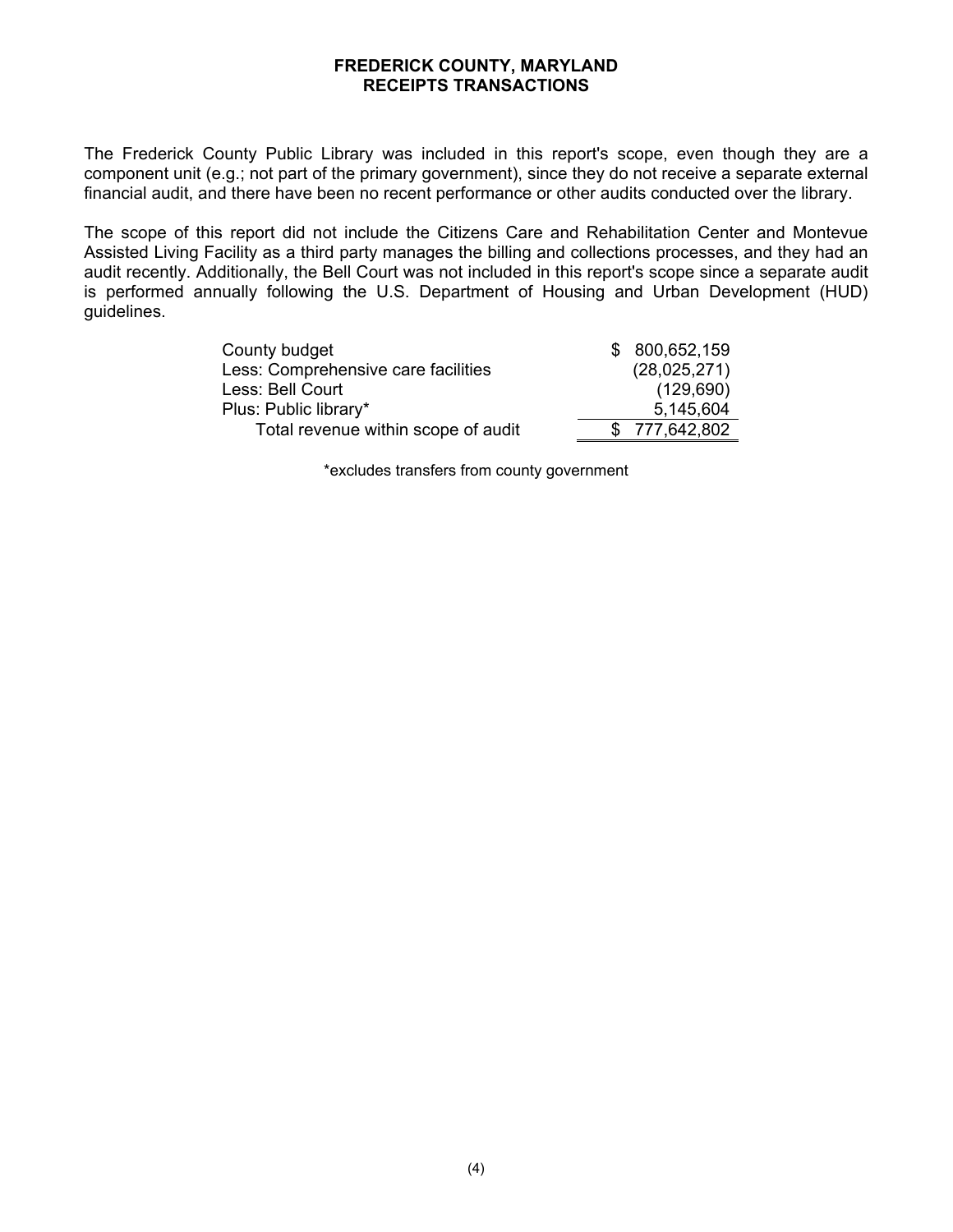The Frederick County Public Library was included in this report's scope, even though they are a component unit (e.g.; not part of the primary government), since they do not receive a separate external financial audit, and there have been no recent performance or other audits conducted over the library.

The scope of this report did not include the Citizens Care and Rehabilitation Center and Montevue Assisted Living Facility as a third party manages the billing and collections processes, and they had an audit recently. Additionally, the Bell Court was not included in this report's scope since a separate audit is performed annually following the U.S. Department of Housing and Urban Development (HUD) guidelines.

| County budget                       | \$ 800,652,159 |
|-------------------------------------|----------------|
| Less: Comprehensive care facilities | (28,025,271)   |
| Less: Bell Court                    | (129, 690)     |
| Plus: Public library*               | 5,145,604      |
| Total revenue within scope of audit | \$777,642,802  |

\*excludes transfers from county government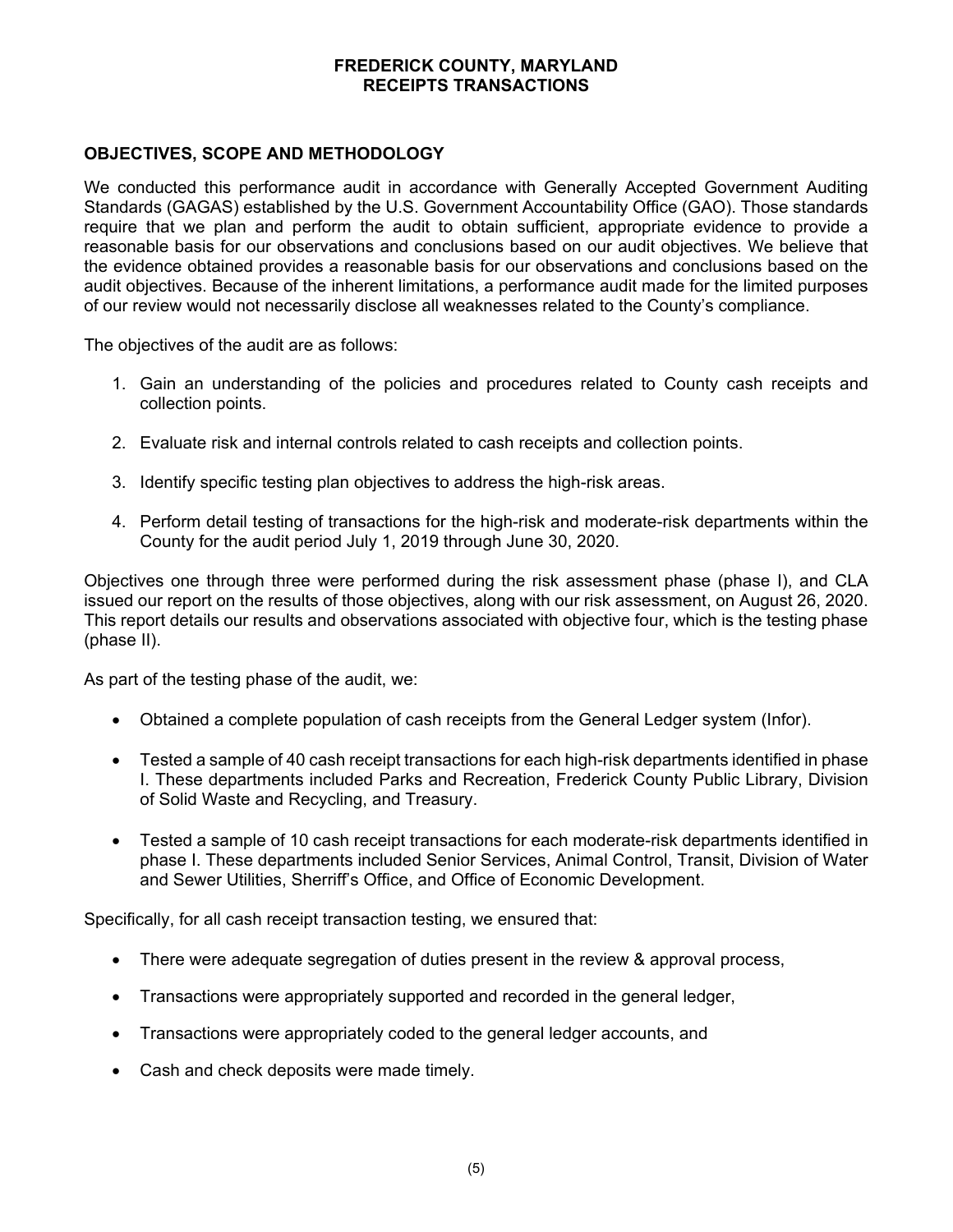## **OBJECTIVES, SCOPE AND METHODOLOGY**

We conducted this performance audit in accordance with Generally Accepted Government Auditing Standards (GAGAS) established by the U.S. Government Accountability Office (GAO). Those standards require that we plan and perform the audit to obtain sufficient, appropriate evidence to provide a reasonable basis for our observations and conclusions based on our audit objectives. We believe that the evidence obtained provides a reasonable basis for our observations and conclusions based on the audit objectives. Because of the inherent limitations, a performance audit made for the limited purposes of our review would not necessarily disclose all weaknesses related to the County's compliance.

The objectives of the audit are as follows:

- 1. Gain an understanding of the policies and procedures related to County cash receipts and collection points.
- 2. Evaluate risk and internal controls related to cash receipts and collection points.
- 3. Identify specific testing plan objectives to address the high-risk areas.
- 4. Perform detail testing of transactions for the high-risk and moderate-risk departments within the County for the audit period July 1, 2019 through June 30, 2020.

Objectives one through three were performed during the risk assessment phase (phase I), and CLA issued our report on the results of those objectives, along with our risk assessment, on August 26, 2020. This report details our results and observations associated with objective four, which is the testing phase (phase II).

As part of the testing phase of the audit, we:

- Obtained a complete population of cash receipts from the General Ledger system (Infor).
- Tested a sample of 40 cash receipt transactions for each high-risk departments identified in phase I. These departments included Parks and Recreation, Frederick County Public Library, Division of Solid Waste and Recycling, and Treasury.
- Tested a sample of 10 cash receipt transactions for each moderate-risk departments identified in phase I. These departments included Senior Services, Animal Control, Transit, Division of Water and Sewer Utilities, Sherriff's Office, and Office of Economic Development.

Specifically, for all cash receipt transaction testing, we ensured that:

- There were adequate segregation of duties present in the review & approval process,
- Transactions were appropriately supported and recorded in the general ledger,
- Transactions were appropriately coded to the general ledger accounts, and
- Cash and check deposits were made timely.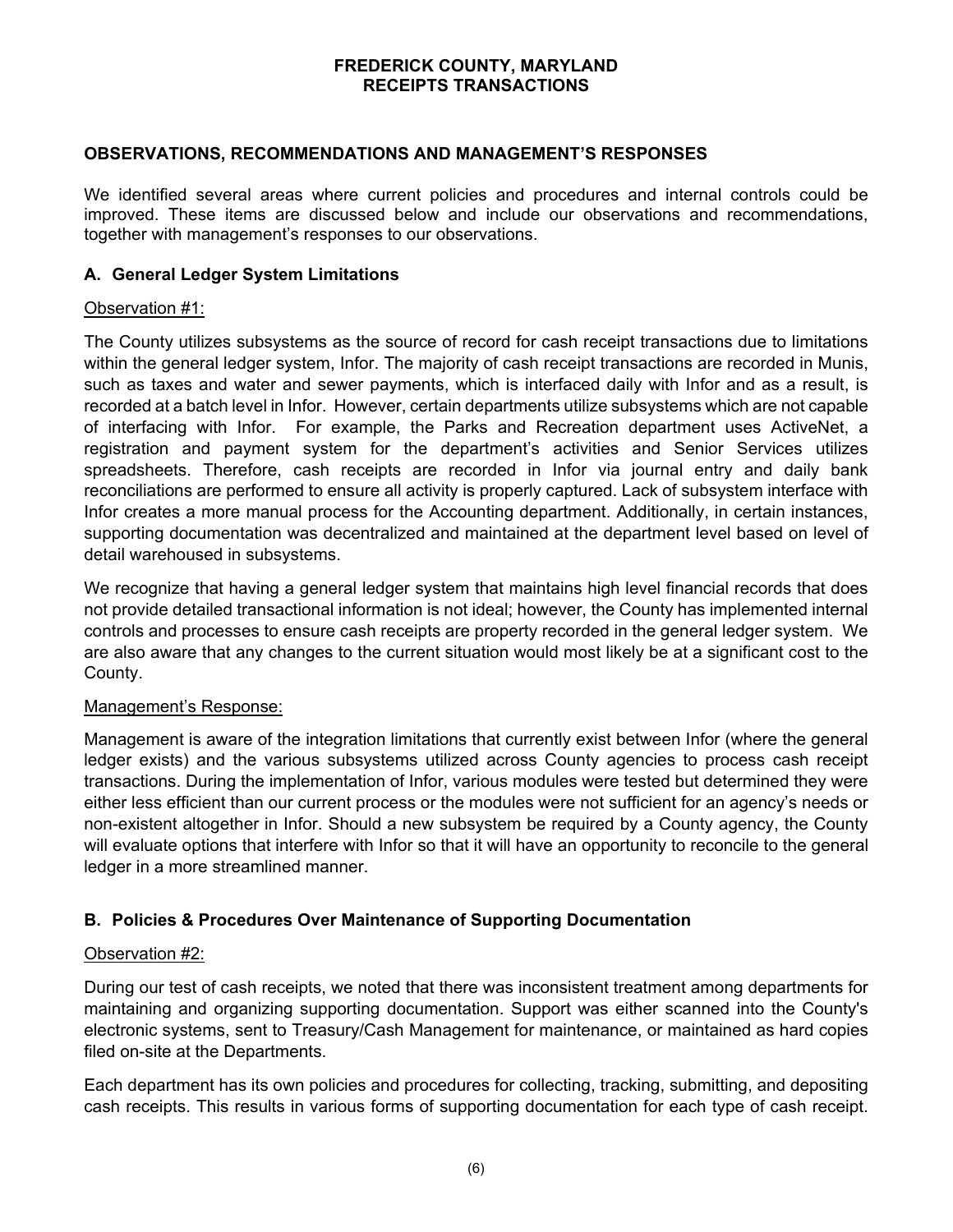### **OBSERVATIONS, RECOMMENDATIONS AND MANAGEMENT'S RESPONSES**

We identified several areas where current policies and procedures and internal controls could be improved. These items are discussed below and include our observations and recommendations, together with management's responses to our observations.

### **A. General Ledger System Limitations**

### Observation #1:

The County utilizes subsystems as the source of record for cash receipt transactions due to limitations within the general ledger system, Infor. The majority of cash receipt transactions are recorded in Munis, such as taxes and water and sewer payments, which is interfaced daily with Infor and as a result, is recorded at a batch level in Infor. However, certain departments utilize subsystems which are not capable of interfacing with Infor. For example, the Parks and Recreation department uses ActiveNet, a registration and payment system for the department's activities and Senior Services utilizes spreadsheets. Therefore, cash receipts are recorded in Infor via journal entry and daily bank reconciliations are performed to ensure all activity is properly captured. Lack of subsystem interface with Infor creates a more manual process for the Accounting department. Additionally, in certain instances, supporting documentation was decentralized and maintained at the department level based on level of detail warehoused in subsystems.

We recognize that having a general ledger system that maintains high level financial records that does not provide detailed transactional information is not ideal; however, the County has implemented internal controls and processes to ensure cash receipts are property recorded in the general ledger system. We are also aware that any changes to the current situation would most likely be at a significant cost to the County.

### Management's Response:

Management is aware of the integration limitations that currently exist between Infor (where the general ledger exists) and the various subsystems utilized across County agencies to process cash receipt transactions. During the implementation of Infor, various modules were tested but determined they were either less efficient than our current process or the modules were not sufficient for an agency's needs or non-existent altogether in Infor. Should a new subsystem be required by a County agency, the County will evaluate options that interfere with Infor so that it will have an opportunity to reconcile to the general ledger in a more streamlined manner.

### **B. Policies & Procedures Over Maintenance of Supporting Documentation**

### Observation #2:

During our test of cash receipts, we noted that there was inconsistent treatment among departments for maintaining and organizing supporting documentation. Support was either scanned into the County's electronic systems, sent to Treasury/Cash Management for maintenance, or maintained as hard copies filed on-site at the Departments.

Each department has its own policies and procedures for collecting, tracking, submitting, and depositing cash receipts. This results in various forms of supporting documentation for each type of cash receipt.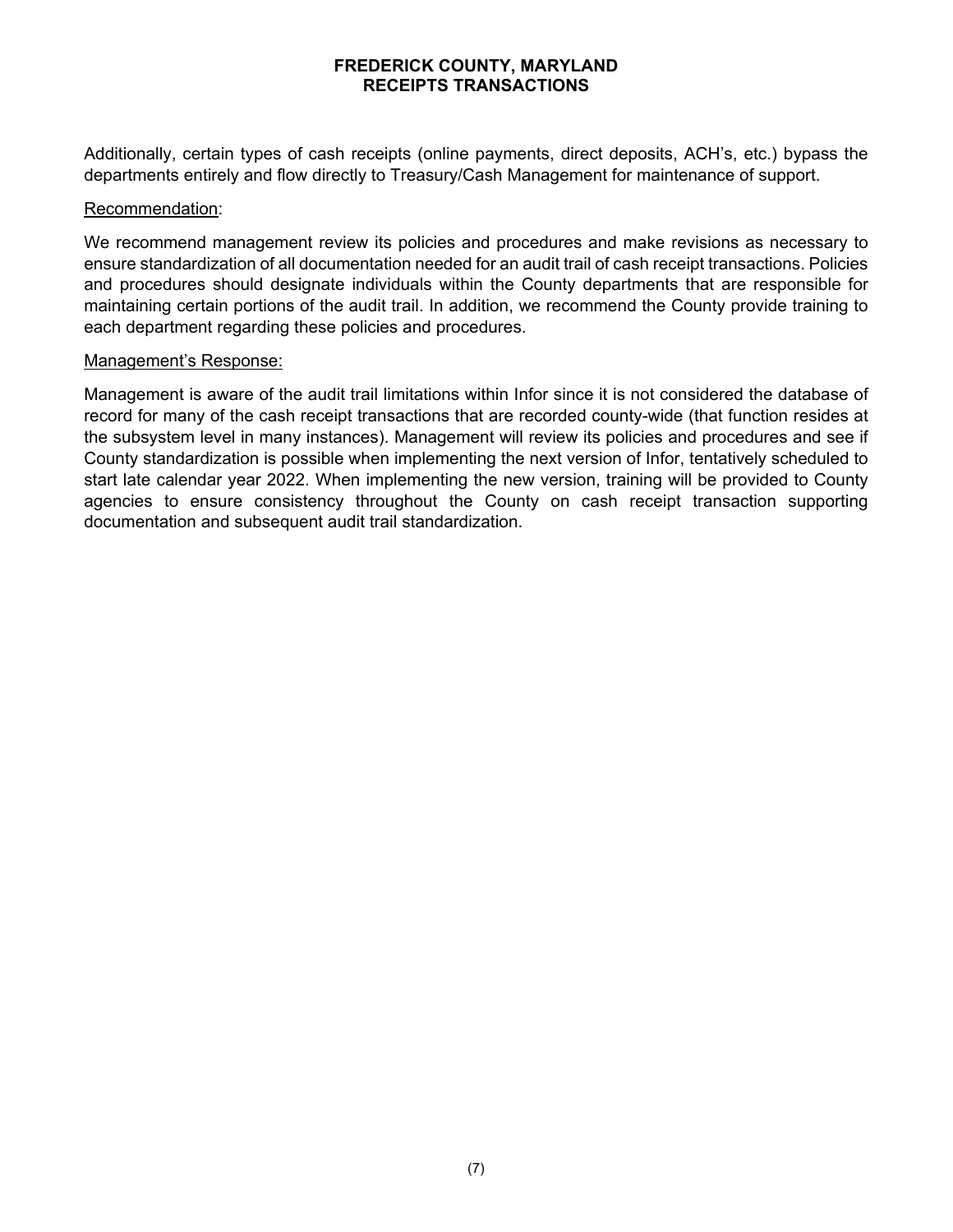Additionally, certain types of cash receipts (online payments, direct deposits, ACH's, etc.) bypass the departments entirely and flow directly to Treasury/Cash Management for maintenance of support.

### Recommendation:

We recommend management review its policies and procedures and make revisions as necessary to ensure standardization of all documentation needed for an audit trail of cash receipt transactions. Policies and procedures should designate individuals within the County departments that are responsible for maintaining certain portions of the audit trail. In addition, we recommend the County provide training to each department regarding these policies and procedures.

### Management's Response:

Management is aware of the audit trail limitations within Infor since it is not considered the database of record for many of the cash receipt transactions that are recorded county-wide (that function resides at the subsystem level in many instances). Management will review its policies and procedures and see if County standardization is possible when implementing the next version of Infor, tentatively scheduled to start late calendar year 2022. When implementing the new version, training will be provided to County agencies to ensure consistency throughout the County on cash receipt transaction supporting documentation and subsequent audit trail standardization.